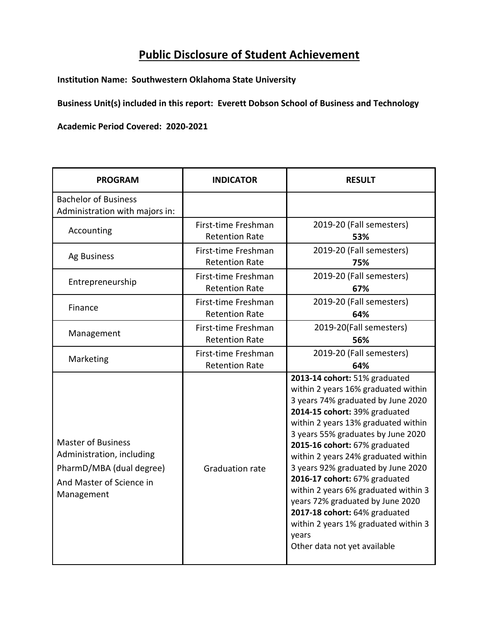## **Public Disclosure of Student Achievement**

**Institution Name: Southwestern Oklahoma State University**

**Business Unit(s) included in this report: Everett Dobson School of Business and Technology**

**Academic Period Covered: 2020-2021**

| <b>PROGRAM</b>                                                                                                               | <b>INDICATOR</b>                             | <b>RESULT</b>                                                                                                                                                                                                                                                                                                                                                                                                                                                                                                                                                         |
|------------------------------------------------------------------------------------------------------------------------------|----------------------------------------------|-----------------------------------------------------------------------------------------------------------------------------------------------------------------------------------------------------------------------------------------------------------------------------------------------------------------------------------------------------------------------------------------------------------------------------------------------------------------------------------------------------------------------------------------------------------------------|
| <b>Bachelor of Business</b><br>Administration with majors in:                                                                |                                              |                                                                                                                                                                                                                                                                                                                                                                                                                                                                                                                                                                       |
| Accounting                                                                                                                   | First-time Freshman<br><b>Retention Rate</b> | 2019-20 (Fall semesters)<br>53%                                                                                                                                                                                                                                                                                                                                                                                                                                                                                                                                       |
| Ag Business                                                                                                                  | First-time Freshman<br><b>Retention Rate</b> | 2019-20 (Fall semesters)<br>75%                                                                                                                                                                                                                                                                                                                                                                                                                                                                                                                                       |
| Entrepreneurship                                                                                                             | First-time Freshman<br><b>Retention Rate</b> | 2019-20 (Fall semesters)<br>67%                                                                                                                                                                                                                                                                                                                                                                                                                                                                                                                                       |
| Finance                                                                                                                      | First-time Freshman<br><b>Retention Rate</b> | 2019-20 (Fall semesters)<br>64%                                                                                                                                                                                                                                                                                                                                                                                                                                                                                                                                       |
| Management                                                                                                                   | First-time Freshman<br><b>Retention Rate</b> | 2019-20(Fall semesters)<br>56%                                                                                                                                                                                                                                                                                                                                                                                                                                                                                                                                        |
| Marketing                                                                                                                    | First-time Freshman<br><b>Retention Rate</b> | 2019-20 (Fall semesters)<br>64%                                                                                                                                                                                                                                                                                                                                                                                                                                                                                                                                       |
| <b>Master of Business</b><br>Administration, including<br>PharmD/MBA (dual degree)<br>And Master of Science in<br>Management | <b>Graduation rate</b>                       | 2013-14 cohort: 51% graduated<br>within 2 years 16% graduated within<br>3 years 74% graduated by June 2020<br>2014-15 cohort: 39% graduated<br>within 2 years 13% graduated within<br>3 years 55% graduates by June 2020<br>2015-16 cohort: 67% graduated<br>within 2 years 24% graduated within<br>3 years 92% graduated by June 2020<br>2016-17 cohort: 67% graduated<br>within 2 years 6% graduated within 3<br>years 72% graduated by June 2020<br>2017-18 cohort: 64% graduated<br>within 2 years 1% graduated within 3<br>years<br>Other data not yet available |